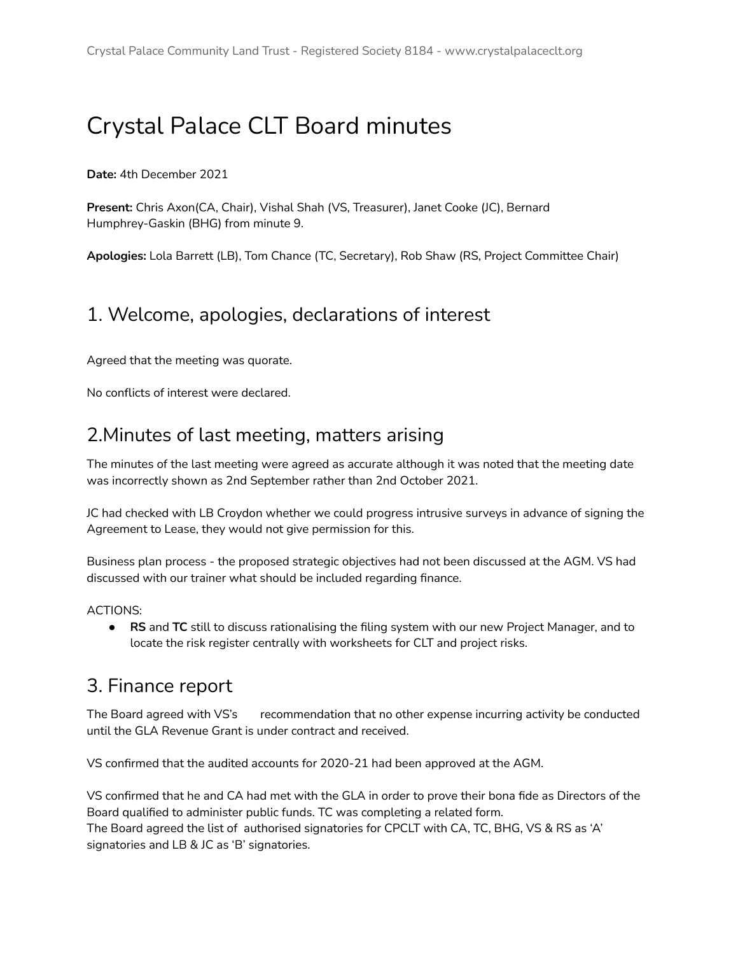# Crystal Palace CLT Board minutes

**Date:** 4th December 2021

**Present:** Chris Axon(CA, Chair), Vishal Shah (VS, Treasurer), Janet Cooke (JC), Bernard Humphrey-Gaskin (BHG) from minute 9.

**Apologies:** Lola Barrett (LB), Tom Chance (TC, Secretary), Rob Shaw (RS, Project Committee Chair)

#### 1. Welcome, apologies, declarations of interest

Agreed that the meeting was quorate.

No conflicts of interest were declared.

#### 2.Minutes of last meeting, matters arising

The minutes of the last meeting were agreed as accurate although it was noted that the meeting date was incorrectly shown as 2nd September rather than 2nd October 2021.

JC had checked with LB Croydon whether we could progress intrusive surveys in advance of signing the Agreement to Lease, they would not give permission for this.

Business plan process - the proposed strategic objectives had not been discussed at the AGM. VS had discussed with our trainer what should be included regarding finance.

ACTIONS:

● **RS** and **TC** still to discuss rationalising the filing system with our new Project Manager, and to locate the risk register centrally with worksheets for CLT and project risks.

#### 3. Finance report

The Board agreed with VS's recommendation that no other expense incurring activity be conducted until the GLA Revenue Grant is under contract and received.

VS confirmed that the audited accounts for 2020-21 had been approved at the AGM.

VS confirmed that he and CA had met with the GLA in order to prove their bona fide as Directors of the Board qualified to administer public funds. TC was completing a related form. The Board agreed the list of authorised signatories for CPCLT with CA, TC, BHG, VS & RS as 'A' signatories and LB & JC as 'B' signatories.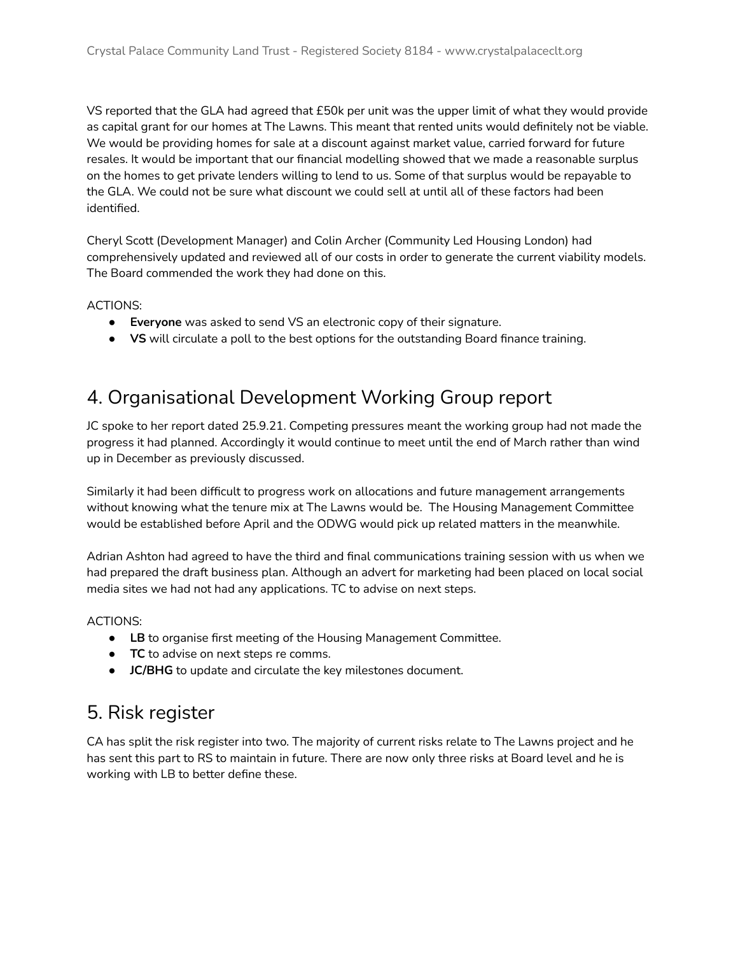VS reported that the GLA had agreed that £50k per unit was the upper limit of what they would provide as capital grant for our homes at The Lawns. This meant that rented units would definitely not be viable. We would be providing homes for sale at a discount against market value, carried forward for future resales. It would be important that our financial modelling showed that we made a reasonable surplus on the homes to get private lenders willing to lend to us. Some of that surplus would be repayable to the GLA. We could not be sure what discount we could sell at until all of these factors had been identified.

Cheryl Scott (Development Manager) and Colin Archer (Community Led Housing London) had comprehensively updated and reviewed all of our costs in order to generate the current viability models. The Board commended the work they had done on this.

ACTIONS:

- **Everyone** was asked to send VS an electronic copy of their signature.
- **VS** will circulate a poll to the best options for the outstanding Board finance training.

#### 4. Organisational Development Working Group report

JC spoke to her report dated 25.9.21. Competing pressures meant the working group had not made the progress it had planned. Accordingly it would continue to meet until the end of March rather than wind up in December as previously discussed.

Similarly it had been difficult to progress work on allocations and future management arrangements without knowing what the tenure mix at The Lawns would be. The Housing Management Committee would be established before April and the ODWG would pick up related matters in the meanwhile.

Adrian Ashton had agreed to have the third and final communications training session with us when we had prepared the draft business plan. Although an advert for marketing had been placed on local social media sites we had not had any applications. TC to advise on next steps.

#### ACTIONS:

- **● LB** to organise first meeting of the Housing Management Committee.
- **● TC** to advise on next steps re comms.
- **JC/BHG** to update and circulate the key milestones document.

#### 5. Risk register

CA has split the risk register into two. The majority of current risks relate to The Lawns project and he has sent this part to RS to maintain in future. There are now only three risks at Board level and he is working with LB to better define these.